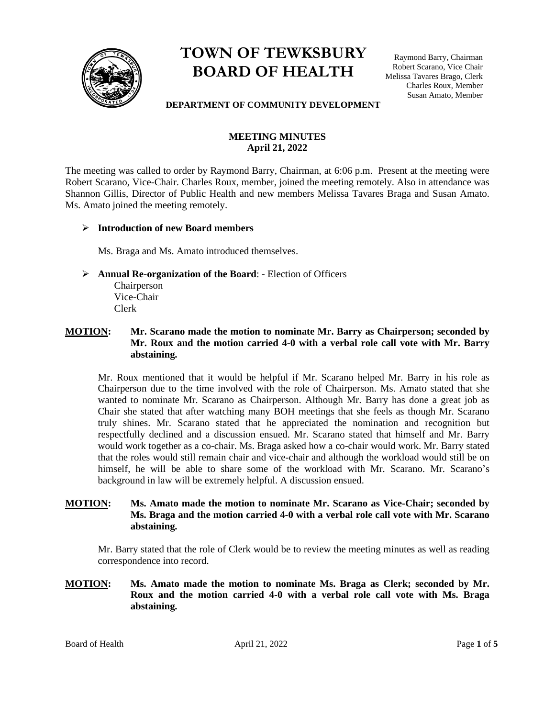

# **TOWN OF TEWKSBURY BOARD OF HEALTH**

Raymond Barry, Chairman Robert Scarano, Vice Chair Melissa Tavares Brago, Clerk Charles Roux, Member Susan Amato, Member

#### **DEPARTMENT OF COMMUNITY DEVELOPMENT**

# **MEETING MINUTES April 21, 2022**

The meeting was called to order by Raymond Barry, Chairman, at 6:06 p.m. Present at the meeting were Robert Scarano, Vice-Chair. Charles Roux, member, joined the meeting remotely. Also in attendance was Shannon Gillis, Director of Public Health and new members Melissa Tavares Braga and Susan Amato. Ms. Amato joined the meeting remotely.

## ➢ **Introduction of new Board members**

Ms. Braga and Ms. Amato introduced themselves.

➢ **Annual Re-organization of the Board**: **-** Election of Officers

Chairperson Vice-Chair Clerk

## **MOTION: Mr. Scarano made the motion to nominate Mr. Barry as Chairperson; seconded by Mr. Roux and the motion carried 4-0 with a verbal role call vote with Mr. Barry abstaining.**

Mr. Roux mentioned that it would be helpful if Mr. Scarano helped Mr. Barry in his role as Chairperson due to the time involved with the role of Chairperson. Ms. Amato stated that she wanted to nominate Mr. Scarano as Chairperson. Although Mr. Barry has done a great job as Chair she stated that after watching many BOH meetings that she feels as though Mr. Scarano truly shines. Mr. Scarano stated that he appreciated the nomination and recognition but respectfully declined and a discussion ensued. Mr. Scarano stated that himself and Mr. Barry would work together as a co-chair. Ms. Braga asked how a co-chair would work. Mr. Barry stated that the roles would still remain chair and vice-chair and although the workload would still be on himself, he will be able to share some of the workload with Mr. Scarano. Mr. Scarano's background in law will be extremely helpful. A discussion ensued.

## **MOTION: Ms. Amato made the motion to nominate Mr. Scarano as Vice-Chair; seconded by Ms. Braga and the motion carried 4-0 with a verbal role call vote with Mr. Scarano abstaining.**

Mr. Barry stated that the role of Clerk would be to review the meeting minutes as well as reading correspondence into record.

**MOTION: Ms. Amato made the motion to nominate Ms. Braga as Clerk; seconded by Mr. Roux and the motion carried 4-0 with a verbal role call vote with Ms. Braga abstaining.** 

Board of Health April 21, 2022 Page 1 of 5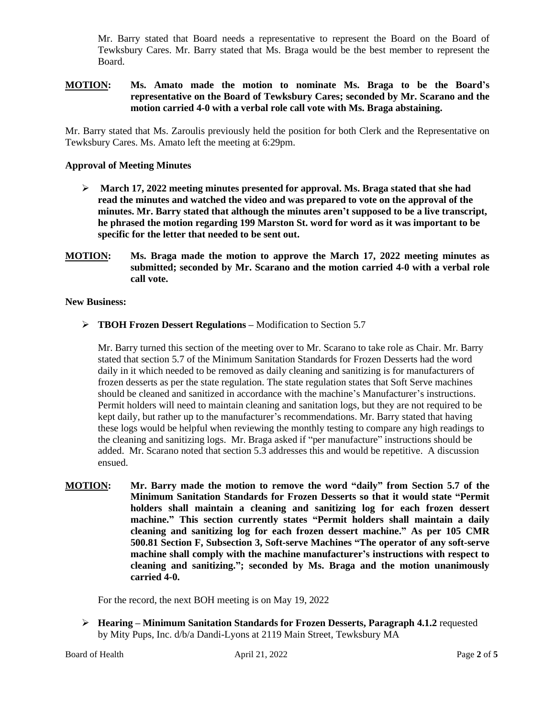Mr. Barry stated that Board needs a representative to represent the Board on the Board of Tewksbury Cares. Mr. Barry stated that Ms. Braga would be the best member to represent the Board.

## **MOTION: Ms. Amato made the motion to nominate Ms. Braga to be the Board's representative on the Board of Tewksbury Cares; seconded by Mr. Scarano and the motion carried 4-0 with a verbal role call vote with Ms. Braga abstaining.**

Mr. Barry stated that Ms. Zaroulis previously held the position for both Clerk and the Representative on Tewksbury Cares. Ms. Amato left the meeting at 6:29pm.

## **Approval of Meeting Minutes**

- ➢ **March 17, 2022 meeting minutes presented for approval. Ms. Braga stated that she had read the minutes and watched the video and was prepared to vote on the approval of the minutes. Mr. Barry stated that although the minutes aren't supposed to be a live transcript, he phrased the motion regarding 199 Marston St. word for word as it was important to be specific for the letter that needed to be sent out.**
- **MOTION: Ms. Braga made the motion to approve the March 17, 2022 meeting minutes as submitted; seconded by Mr. Scarano and the motion carried 4-0 with a verbal role call vote.**

#### **New Business:**

➢ **TBOH Frozen Dessert Regulations –** Modification to Section 5.7

Mr. Barry turned this section of the meeting over to Mr. Scarano to take role as Chair. Mr. Barry stated that section 5.7 of the Minimum Sanitation Standards for Frozen Desserts had the word daily in it which needed to be removed as daily cleaning and sanitizing is for manufacturers of frozen desserts as per the state regulation. The state regulation states that Soft Serve machines should be cleaned and sanitized in accordance with the machine's Manufacturer's instructions. Permit holders will need to maintain cleaning and sanitation logs, but they are not required to be kept daily, but rather up to the manufacturer's recommendations. Mr. Barry stated that having these logs would be helpful when reviewing the monthly testing to compare any high readings to the cleaning and sanitizing logs. Mr. Braga asked if "per manufacture" instructions should be added. Mr. Scarano noted that section 5.3 addresses this and would be repetitive. A discussion ensued.

**MOTION: Mr. Barry made the motion to remove the word "daily" from Section 5.7 of the Minimum Sanitation Standards for Frozen Desserts so that it would state "Permit holders shall maintain a cleaning and sanitizing log for each frozen dessert machine." This section currently states "Permit holders shall maintain a daily cleaning and sanitizing log for each frozen dessert machine." As per 105 CMR 500.81 Section F, Subsection 3, Soft-serve Machines "The operator of any soft-serve machine shall comply with the machine manufacturer's instructions with respect to cleaning and sanitizing."; seconded by Ms. Braga and the motion unanimously carried 4-0.** 

For the record, the next BOH meeting is on May 19, 2022

➢ **Hearing – Minimum Sanitation Standards for Frozen Desserts, Paragraph 4.1.2** requested by Mity Pups, Inc. d/b/a Dandi-Lyons at 2119 Main Street, Tewksbury MA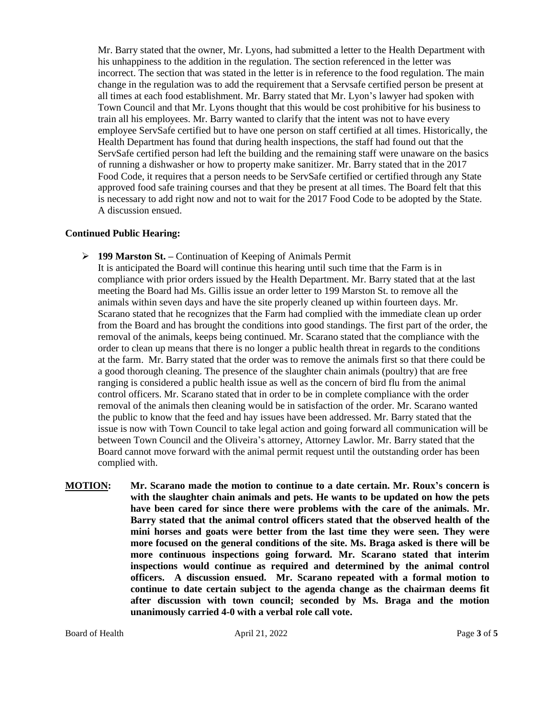Mr. Barry stated that the owner, Mr. Lyons, had submitted a letter to the Health Department with his unhappiness to the addition in the regulation. The section referenced in the letter was incorrect. The section that was stated in the letter is in reference to the food regulation. The main change in the regulation was to add the requirement that a Servsafe certified person be present at all times at each food establishment. Mr. Barry stated that Mr. Lyon's lawyer had spoken with Town Council and that Mr. Lyons thought that this would be cost prohibitive for his business to train all his employees. Mr. Barry wanted to clarify that the intent was not to have every employee ServSafe certified but to have one person on staff certified at all times. Historically, the Health Department has found that during health inspections, the staff had found out that the ServSafe certified person had left the building and the remaining staff were unaware on the basics of running a dishwasher or how to property make sanitizer. Mr. Barry stated that in the 2017 Food Code, it requires that a person needs to be ServSafe certified or certified through any State approved food safe training courses and that they be present at all times. The Board felt that this is necessary to add right now and not to wait for the 2017 Food Code to be adopted by the State. A discussion ensued.

#### **Continued Public Hearing:**

➢ **199 Marston St. –** Continuation of Keeping of Animals Permit

It is anticipated the Board will continue this hearing until such time that the Farm is in compliance with prior orders issued by the Health Department. Mr. Barry stated that at the last meeting the Board had Ms. Gillis issue an order letter to 199 Marston St. to remove all the animals within seven days and have the site properly cleaned up within fourteen days. Mr. Scarano stated that he recognizes that the Farm had complied with the immediate clean up order from the Board and has brought the conditions into good standings. The first part of the order, the removal of the animals, keeps being continued. Mr. Scarano stated that the compliance with the order to clean up means that there is no longer a public health threat in regards to the conditions at the farm. Mr. Barry stated that the order was to remove the animals first so that there could be a good thorough cleaning. The presence of the slaughter chain animals (poultry) that are free ranging is considered a public health issue as well as the concern of bird flu from the animal control officers. Mr. Scarano stated that in order to be in complete compliance with the order removal of the animals then cleaning would be in satisfaction of the order. Mr. Scarano wanted the public to know that the feed and hay issues have been addressed. Mr. Barry stated that the issue is now with Town Council to take legal action and going forward all communication will be between Town Council and the Oliveira's attorney, Attorney Lawlor. Mr. Barry stated that the Board cannot move forward with the animal permit request until the outstanding order has been complied with.

**MOTION: Mr. Scarano made the motion to continue to a date certain. Mr. Roux's concern is with the slaughter chain animals and pets. He wants to be updated on how the pets have been cared for since there were problems with the care of the animals. Mr. Barry stated that the animal control officers stated that the observed health of the mini horses and goats were better from the last time they were seen. They were more focused on the general conditions of the site. Ms. Braga asked is there will be more continuous inspections going forward. Mr. Scarano stated that interim inspections would continue as required and determined by the animal control officers. A discussion ensued. Mr. Scarano repeated with a formal motion to continue to date certain subject to the agenda change as the chairman deems fit after discussion with town council; seconded by Ms. Braga and the motion unanimously carried 4-0 with a verbal role call vote.**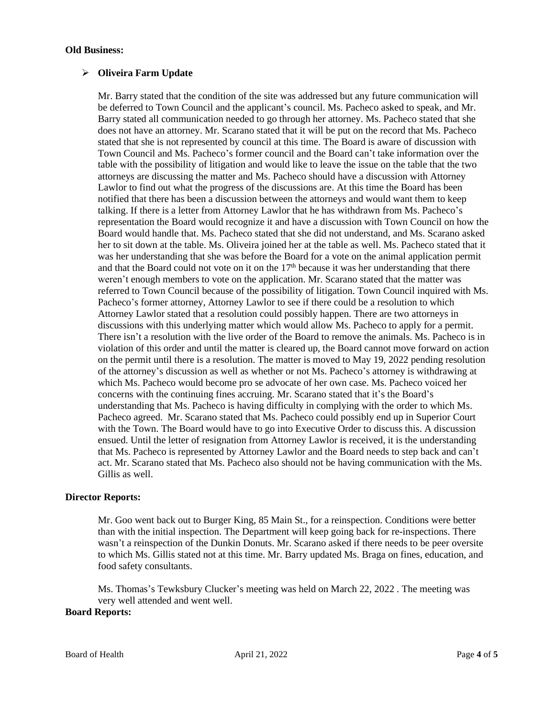#### **Old Business:**

## ➢ **Oliveira Farm Update**

Mr. Barry stated that the condition of the site was addressed but any future communication will be deferred to Town Council and the applicant's council. Ms. Pacheco asked to speak, and Mr. Barry stated all communication needed to go through her attorney. Ms. Pacheco stated that she does not have an attorney. Mr. Scarano stated that it will be put on the record that Ms. Pacheco stated that she is not represented by council at this time. The Board is aware of discussion with Town Council and Ms. Pacheco's former council and the Board can't take information over the table with the possibility of litigation and would like to leave the issue on the table that the two attorneys are discussing the matter and Ms. Pacheco should have a discussion with Attorney Lawlor to find out what the progress of the discussions are. At this time the Board has been notified that there has been a discussion between the attorneys and would want them to keep talking. If there is a letter from Attorney Lawlor that he has withdrawn from Ms. Pacheco's representation the Board would recognize it and have a discussion with Town Council on how the Board would handle that. Ms. Pacheco stated that she did not understand, and Ms. Scarano asked her to sit down at the table. Ms. Oliveira joined her at the table as well. Ms. Pacheco stated that it was her understanding that she was before the Board for a vote on the animal application permit and that the Board could not vote on it on the  $17<sup>th</sup>$  because it was her understanding that there weren't enough members to vote on the application. Mr. Scarano stated that the matter was referred to Town Council because of the possibility of litigation. Town Council inquired with Ms. Pacheco's former attorney, Attorney Lawlor to see if there could be a resolution to which Attorney Lawlor stated that a resolution could possibly happen. There are two attorneys in discussions with this underlying matter which would allow Ms. Pacheco to apply for a permit. There isn't a resolution with the live order of the Board to remove the animals. Ms. Pacheco is in violation of this order and until the matter is cleared up, the Board cannot move forward on action on the permit until there is a resolution. The matter is moved to May 19, 2022 pending resolution of the attorney's discussion as well as whether or not Ms. Pacheco's attorney is withdrawing at which Ms. Pacheco would become pro se advocate of her own case. Ms. Pacheco voiced her concerns with the continuing fines accruing. Mr. Scarano stated that it's the Board's understanding that Ms. Pacheco is having difficulty in complying with the order to which Ms. Pacheco agreed. Mr. Scarano stated that Ms. Pacheco could possibly end up in Superior Court with the Town. The Board would have to go into Executive Order to discuss this. A discussion ensued. Until the letter of resignation from Attorney Lawlor is received, it is the understanding that Ms. Pacheco is represented by Attorney Lawlor and the Board needs to step back and can't act. Mr. Scarano stated that Ms. Pacheco also should not be having communication with the Ms. Gillis as well.

## **Director Reports:**

Mr. Goo went back out to Burger King, 85 Main St., for a reinspection. Conditions were better than with the initial inspection. The Department will keep going back for re-inspections. There wasn't a reinspection of the Dunkin Donuts. Mr. Scarano asked if there needs to be peer oversite to which Ms. Gillis stated not at this time. Mr. Barry updated Ms. Braga on fines, education, and food safety consultants.

Ms. Thomas's Tewksbury Clucker's meeting was held on March 22, 2022 . The meeting was very well attended and went well.

#### **Board Reports:**